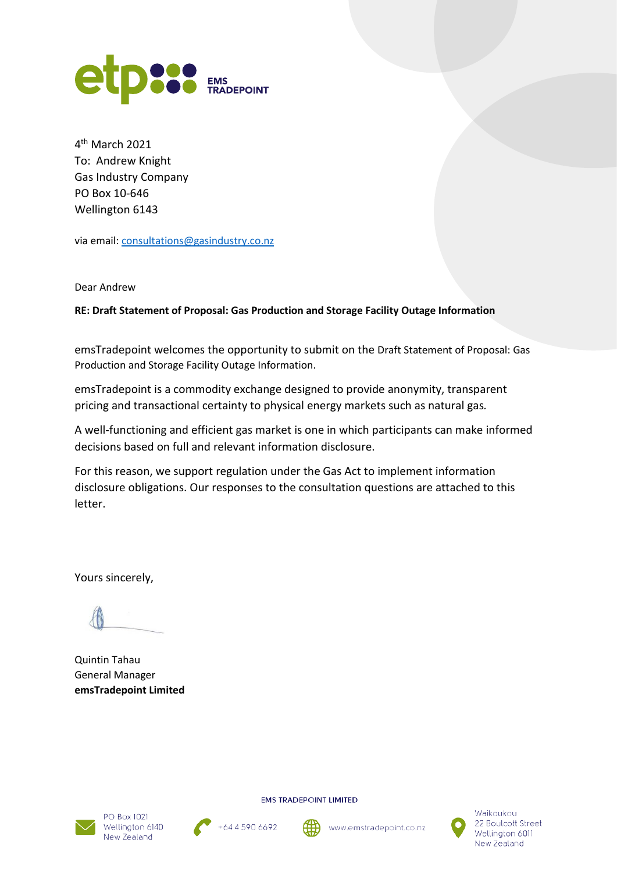

4th March 2021 To: Andrew Knight Gas Industry Company PO Box 10-646 Wellington 6143

via email: [consultations@gasindustry.co.nz](mailto:consultations@gasindustry.co.nz)

Dear Andrew

**RE: Draft Statement of Proposal: Gas Production and Storage Facility Outage Information**

emsTradepoint welcomes the opportunity to submit on the Draft Statement of Proposal: Gas Production and Storage Facility Outage Information.

emsTradepoint is a commodity exchange designed to provide anonymity, transparent pricing and transactional certainty to physical energy markets such as natural gas*.*

A well-functioning and efficient gas market is one in which participants can make informed decisions based on full and relevant information disclosure.

For this reason, we support regulation under the Gas Act to implement information disclosure obligations. Our responses to the consultation questions are attached to this letter.

Yours sincerely,

Quintin Tahau General Manager **emsTradepoint Limited**





**EMS TRADEPOINT LIMITED** 

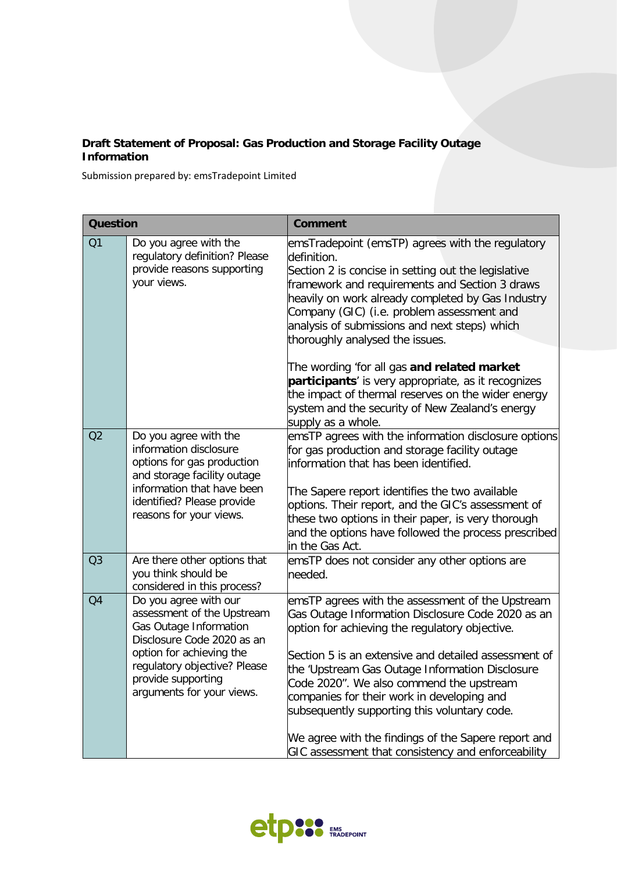## **Draft Statement of Proposal: Gas Production and Storage Facility Outage Information**

Submission prepared by: emsTradepoint Limited

| <b>Question</b> |                                                                                                                                                                                                                            | <b>Comment</b>                                                                                                                                                                                                                                                                                                                                                                                                                                                      |
|-----------------|----------------------------------------------------------------------------------------------------------------------------------------------------------------------------------------------------------------------------|---------------------------------------------------------------------------------------------------------------------------------------------------------------------------------------------------------------------------------------------------------------------------------------------------------------------------------------------------------------------------------------------------------------------------------------------------------------------|
| Q1              | Do you agree with the<br>regulatory definition? Please<br>provide reasons supporting<br>your views.                                                                                                                        | emsTradepoint (emsTP) agrees with the regulatory<br>definition.<br>Section 2 is concise in setting out the legislative<br>framework and requirements and Section 3 draws<br>heavily on work already completed by Gas Industry<br>Company (GIC) (i.e. problem assessment and<br>analysis of submissions and next steps) which<br>thoroughly analysed the issues.                                                                                                     |
|                 |                                                                                                                                                                                                                            | The wording 'for all gas and related market<br>participants' is very appropriate, as it recognizes<br>the impact of thermal reserves on the wider energy<br>system and the security of New Zealand's energy<br>supply as a whole.                                                                                                                                                                                                                                   |
| Q2              | Do you agree with the<br>information disclosure<br>options for gas production<br>and storage facility outage<br>information that have been<br>identified? Please provide<br>reasons for your views.                        | emsTP agrees with the information disclosure options<br>for gas production and storage facility outage<br>information that has been identified.<br>The Sapere report identifies the two available<br>options. Their report, and the GIC's assessment of<br>these two options in their paper, is very thorough<br>and the options have followed the process prescribed<br>in the Gas Act.                                                                            |
| Q3              | Are there other options that<br>you think should be<br>considered in this process?                                                                                                                                         | emsTP does not consider any other options are<br>needed.                                                                                                                                                                                                                                                                                                                                                                                                            |
| Q <sub>4</sub>  | Do you agree with our<br>assessment of the Upstream<br>Gas Outage Information<br>Disclosure Code 2020 as an<br>option for achieving the<br>regulatory objective? Please<br>provide supporting<br>arguments for your views. | emsTP agrees with the assessment of the Upstream<br>Gas Outage Information Disclosure Code 2020 as an<br>option for achieving the regulatory objective.<br>Section 5 is an extensive and detailed assessment of<br>the 'Upstream Gas Outage Information Disclosure<br>Code 2020". We also commend the upstream<br>companies for their work in developing and<br>subsequently supporting this voluntary code.<br>We agree with the findings of the Sapere report and |
|                 |                                                                                                                                                                                                                            | GIC assessment that consistency and enforceability                                                                                                                                                                                                                                                                                                                                                                                                                  |